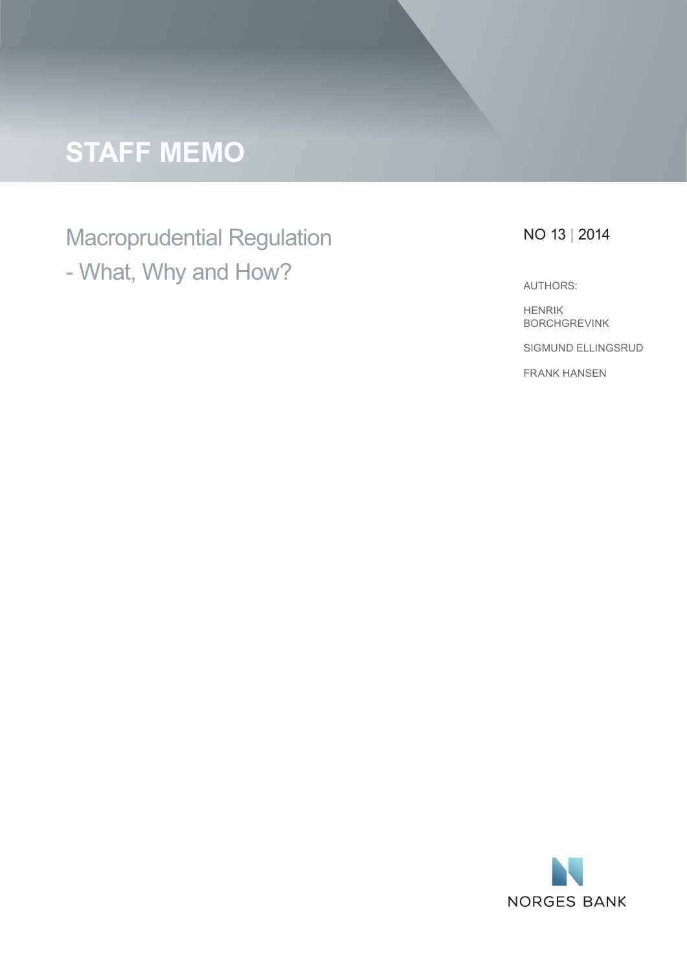# **STAFF MEMO**

## Macroprudential Regulation - What, Why and How?

## NO 13 | 2014

AUTHORS:

HENRIK BORCHGREVINK SIGMUND ELLINGSRUD FRANK HANSEN

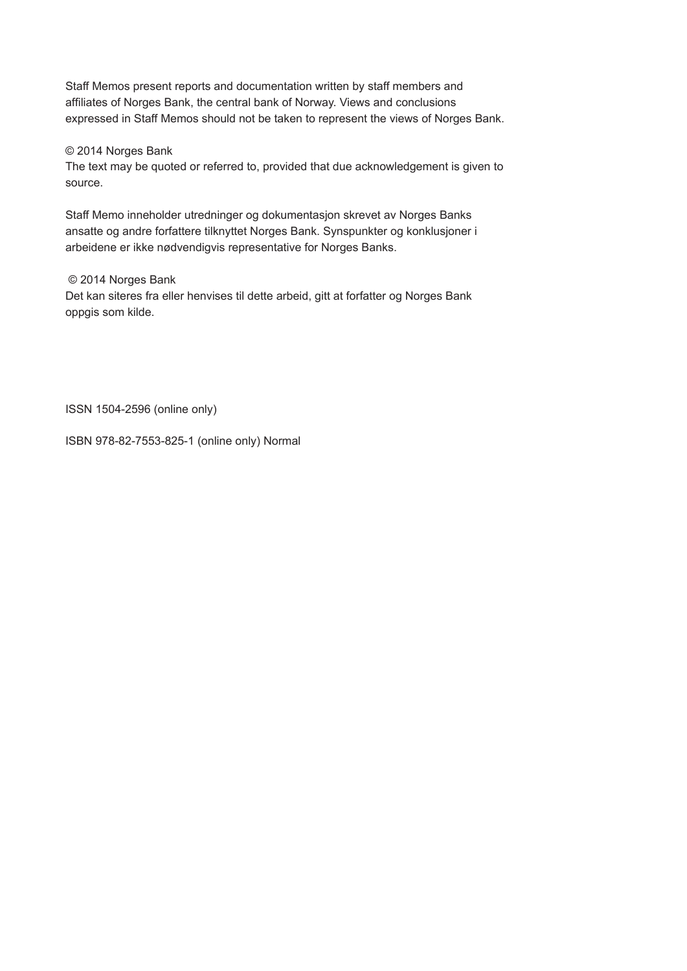Staff Memos present reports and documentation written by staff members and affiliates of Norges Bank, the central bank of Norway. Views and conclusions expressed in Staff Memos should not be taken to represent the views of Norges Bank.

#### © 2014 Norges Bank

The text may be quoted or referred to, provided that due acknowledgement is given to source.

Staff Memo inneholder utredninger og dokumentasjon skrevet av Norges Banks ansatte og andre forfattere tilknyttet Norges Bank. Synspunkter og konklusjoner i arbeidene er ikke nødvendigvis representative for Norges Banks.

#### © 2014 Norges Bank

Det kan siteres fra eller henvises til dette arbeid, gitt at forfatter og Norges Bank oppgis som kilde.

ISSN 1504-2596 (online only)

ISBN 978-82-7553-825-1 (online only) Normal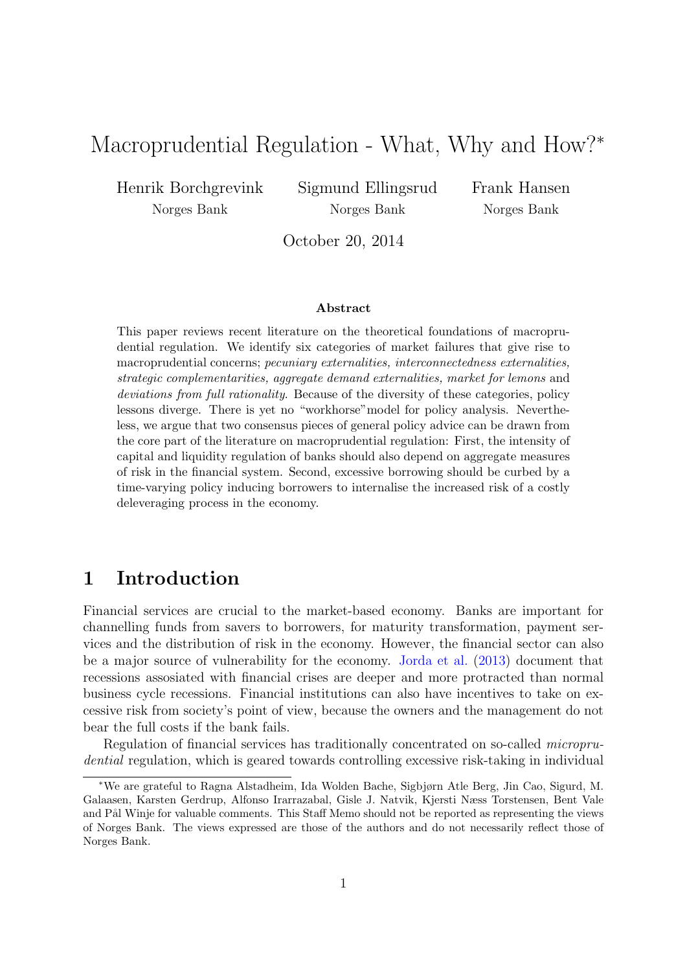## Macroprudential Regulation - What, Why and How?<sup>∗</sup>

Henrik Borchgrevink Norges Bank

Sigmund Ellingsrud Norges Bank

Frank Hansen Norges Bank

October 20, 2014

#### Abstract

This paper reviews recent literature on the theoretical foundations of macroprudential regulation. We identify six categories of market failures that give rise to macroprudential concerns; pecuniary externalities, interconnectedness externalities, strategic complementarities, aggregate demand externalities, market for lemons and deviations from full rationality. Because of the diversity of these categories, policy lessons diverge. There is yet no "workhorse"model for policy analysis. Nevertheless, we argue that two consensus pieces of general policy advice can be drawn from the core part of the literature on macroprudential regulation: First, the intensity of capital and liquidity regulation of banks should also depend on aggregate measures of risk in the financial system. Second, excessive borrowing should be curbed by a time-varying policy inducing borrowers to internalise the increased risk of a costly deleveraging process in the economy.

## 1 Introduction

Financial services are crucial to the market-based economy. Banks are important for channelling funds from savers to borrowers, for maturity transformation, payment services and the distribution of risk in the economy. However, the financial sector can also be a major source of vulnerability for the economy. [Jorda et al.](#page-15-0) [\(2013\)](#page-15-0) document that recessions assosiated with financial crises are deeper and more protracted than normal business cycle recessions. Financial institutions can also have incentives to take on excessive risk from society's point of view, because the owners and the management do not bear the full costs if the bank fails.

Regulation of financial services has traditionally concentrated on so-called microprudential regulation, which is geared towards controlling excessive risk-taking in individual

<sup>∗</sup>We are grateful to Ragna Alstadheim, Ida Wolden Bache, Sigbjørn Atle Berg, Jin Cao, Sigurd, M. Galaasen, Karsten Gerdrup, Alfonso Irarrazabal, Gisle J. Natvik, Kjersti Næss Torstensen, Bent Vale and Pål Winje for valuable comments. This Staff Memo should not be reported as representing the views of Norges Bank. The views expressed are those of the authors and do not necessarily reflect those of Norges Bank.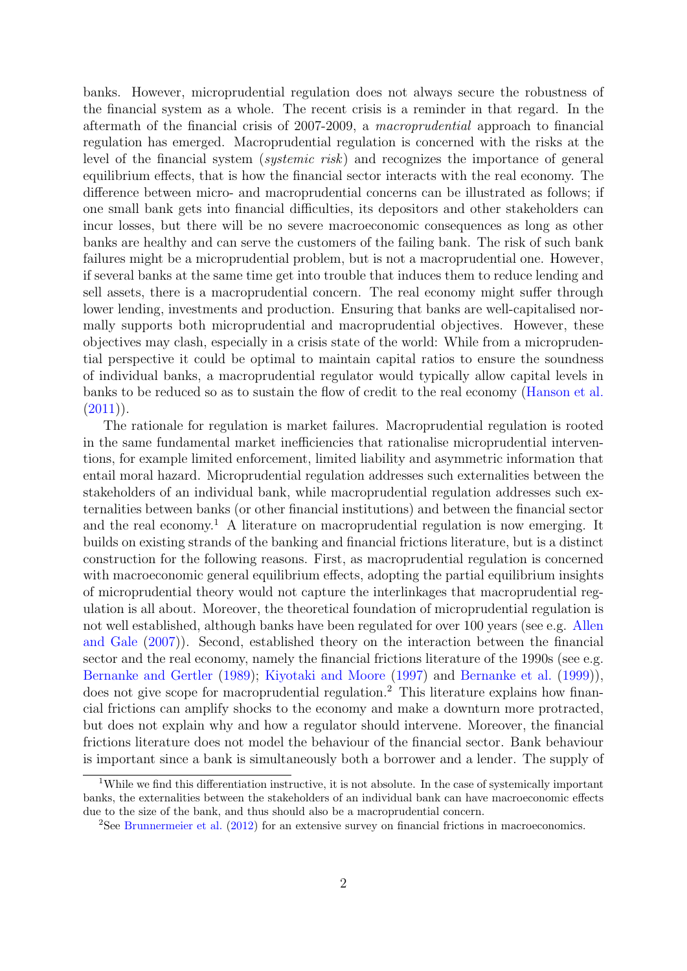banks. However, microprudential regulation does not always secure the robustness of the financial system as a whole. The recent crisis is a reminder in that regard. In the aftermath of the financial crisis of 2007-2009, a macroprudential approach to financial regulation has emerged. Macroprudential regulation is concerned with the risks at the level of the financial system (*systemic risk*) and recognizes the importance of general equilibrium effects, that is how the financial sector interacts with the real economy. The difference between micro- and macroprudential concerns can be illustrated as follows; if one small bank gets into financial difficulties, its depositors and other stakeholders can incur losses, but there will be no severe macroeconomic consequences as long as other banks are healthy and can serve the customers of the failing bank. The risk of such bank failures might be a microprudential problem, but is not a macroprudential one. However, if several banks at the same time get into trouble that induces them to reduce lending and sell assets, there is a macroprudential concern. The real economy might suffer through lower lending, investments and production. Ensuring that banks are well-capitalised normally supports both microprudential and macroprudential objectives. However, these objectives may clash, especially in a crisis state of the world: While from a microprudential perspective it could be optimal to maintain capital ratios to ensure the soundness of individual banks, a macroprudential regulator would typically allow capital levels in banks to be reduced so as to sustain the flow of credit to the real economy [\(Hanson et al.](#page-15-1)  $(2011)$ .

The rationale for regulation is market failures. Macroprudential regulation is rooted in the same fundamental market inefficiencies that rationalise microprudential interventions, for example limited enforcement, limited liability and asymmetric information that entail moral hazard. Microprudential regulation addresses such externalities between the stakeholders of an individual bank, while macroprudential regulation addresses such externalities between banks (or other financial institutions) and between the financial sector and the real economy.<sup>[1](#page-3-0)</sup> A literature on macroprudential regulation is now emerging. It builds on existing strands of the banking and financial frictions literature, but is a distinct construction for the following reasons. First, as macroprudential regulation is concerned with macroeconomic general equilibrium effects, adopting the partial equilibrium insights of microprudential theory would not capture the interlinkages that macroprudential regulation is all about. Moreover, the theoretical foundation of microprudential regulation is not well established, although banks have been regulated for over 100 years (see e.g. [Allen](#page-13-0) [and Gale](#page-13-0) [\(2007\)](#page-13-0)). Second, established theory on the interaction between the financial sector and the real economy, namely the financial frictions literature of the 1990s (see e.g. [Bernanke and Gertler](#page-13-1) [\(1989\)](#page-13-1); [Kiyotaki and Moore](#page-15-2) [\(1997\)](#page-15-2) and [Bernanke et al.](#page-13-2) [\(1999\)](#page-13-2)), does not give scope for macroprudential regulation.<sup>[2](#page-3-1)</sup> This literature explains how financial frictions can amplify shocks to the economy and make a downturn more protracted, but does not explain why and how a regulator should intervene. Moreover, the financial frictions literature does not model the behaviour of the financial sector. Bank behaviour is important since a bank is simultaneously both a borrower and a lender. The supply of

<span id="page-3-0"></span><sup>&</sup>lt;sup>1</sup>While we find this differentiation instructive, it is not absolute. In the case of systemically important banks, the externalities between the stakeholders of an individual bank can have macroeconomic effects due to the size of the bank, and thus should also be a macroprudential concern.

<span id="page-3-1"></span><sup>&</sup>lt;sup>2</sup>See [Brunnermeier et al.](#page-13-3) [\(2012\)](#page-13-3) for an extensive survey on financial frictions in macroeconomics.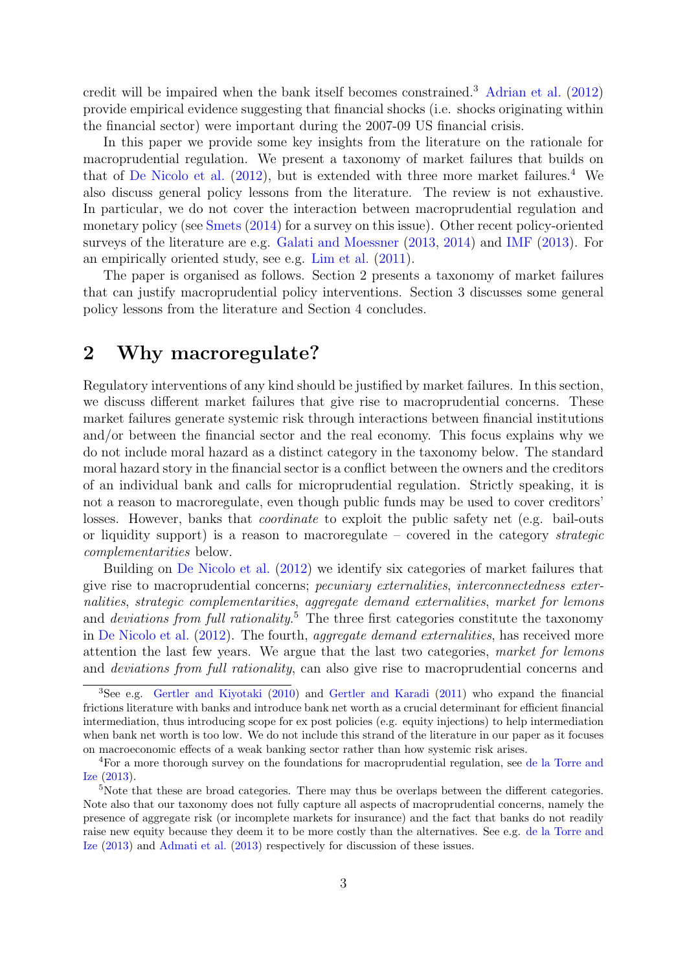credit will be impaired when the bank itself becomes constrained.[3](#page-4-0) [Adrian et al.](#page-13-4) [\(2012\)](#page-13-4) provide empirical evidence suggesting that financial shocks (i.e. shocks originating within the financial sector) were important during the 2007-09 US financial crisis.

In this paper we provide some key insights from the literature on the rationale for macroprudential regulation. We present a taxonomy of market failures that builds on that of [De Nicolo et al.](#page-14-0)  $(2012)$ , but is extended with three more market failures.<sup>[4](#page-4-1)</sup> We also discuss general policy lessons from the literature. The review is not exhaustive. In particular, we do not cover the interaction between macroprudential regulation and monetary policy (see [Smets](#page-16-0) [\(2014\)](#page-16-0) for a survey on this issue). Other recent policy-oriented surveys of the literature are e.g. [Galati and Moessner](#page-14-1) [\(2013,](#page-14-1) [2014\)](#page-14-2) and [IMF](#page-15-3) [\(2013\)](#page-15-3). For an empirically oriented study, see e.g. [Lim et al.](#page-16-1) [\(2011\)](#page-16-1).

The paper is organised as follows. Section 2 presents a taxonomy of market failures that can justify macroprudential policy interventions. Section 3 discusses some general policy lessons from the literature and Section 4 concludes.

## 2 Why macroregulate?

Regulatory interventions of any kind should be justified by market failures. In this section, we discuss different market failures that give rise to macroprudential concerns. These market failures generate systemic risk through interactions between financial institutions and/or between the financial sector and the real economy. This focus explains why we do not include moral hazard as a distinct category in the taxonomy below. The standard moral hazard story in the financial sector is a conflict between the owners and the creditors of an individual bank and calls for microprudential regulation. Strictly speaking, it is not a reason to macroregulate, even though public funds may be used to cover creditors' losses. However, banks that *coordinate* to exploit the public safety net (e.g. bail-outs or liquidity support) is a reason to macroregulate – covered in the category strategic complementarities below.

Building on [De Nicolo et al.](#page-14-0) [\(2012\)](#page-14-0) we identify six categories of market failures that give rise to macroprudential concerns; pecuniary externalities, interconnectedness externalities, strategic complementarities, aggregate demand externalities, market for lemons and *deviations from full rationality*.<sup>[5](#page-4-2)</sup> The three first categories constitute the taxonomy in [De Nicolo et al.](#page-14-0) [\(2012\)](#page-14-0). The fourth, aggregate demand externalities, has received more attention the last few years. We argue that the last two categories, market for lemons and deviations from full rationality, can also give rise to macroprudential concerns and

<span id="page-4-0"></span><sup>3</sup>See e.g. [Gertler and Kiyotaki](#page-15-4) [\(2010\)](#page-15-4) and [Gertler and Karadi](#page-15-5) [\(2011\)](#page-15-5) who expand the financial frictions literature with banks and introduce bank net worth as a crucial determinant for efficient financial intermediation, thus introducing scope for ex post policies (e.g. equity injections) to help intermediation when bank net worth is too low. We do not include this strand of the literature in our paper as it focuses on macroeconomic effects of a weak banking sector rather than how systemic risk arises.

<span id="page-4-1"></span><sup>4</sup>For a more thorough survey on the foundations for macroprudential regulation, see [de la Torre and](#page-14-3) [Ize](#page-14-3) [\(2013\)](#page-14-3).

<span id="page-4-2"></span><sup>&</sup>lt;sup>5</sup>Note that these are broad categories. There may thus be overlaps between the different categories. Note also that our taxonomy does not fully capture all aspects of macroprudential concerns, namely the presence of aggregate risk (or incomplete markets for insurance) and the fact that banks do not readily raise new equity because they deem it to be more costly than the alternatives. See e.g. [de la Torre and](#page-14-3) [Ize](#page-14-3) [\(2013\)](#page-14-3) and [Admati et al.](#page-13-5) [\(2013\)](#page-13-5) respectively for discussion of these issues.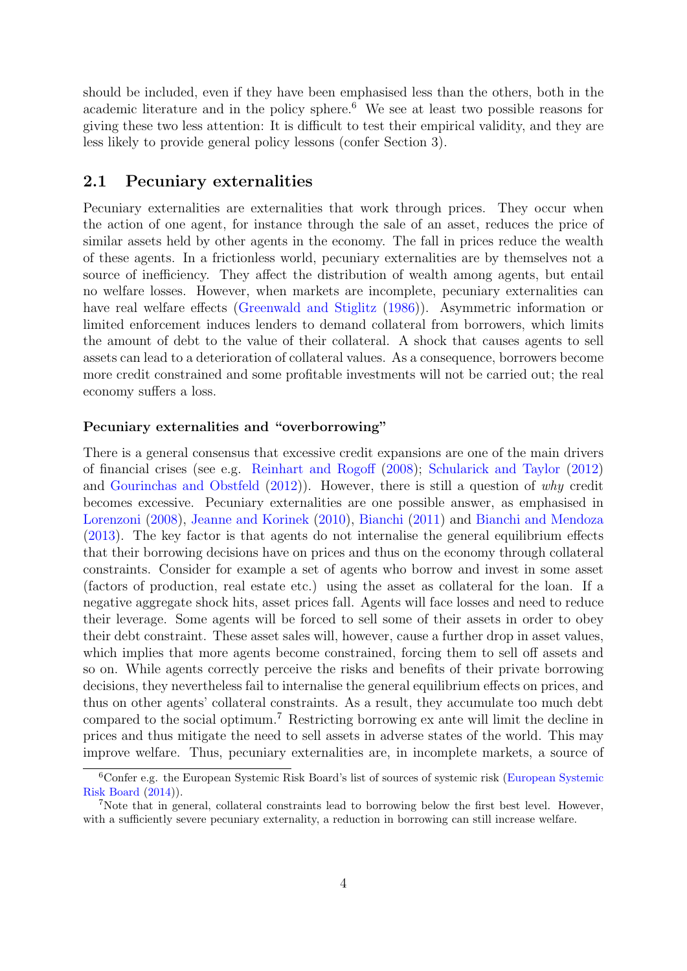should be included, even if they have been emphasised less than the others, both in the academic literature and in the policy sphere.<sup>[6](#page-5-0)</sup> We see at least two possible reasons for giving these two less attention: It is difficult to test their empirical validity, and they are less likely to provide general policy lessons (confer Section 3).

#### 2.1 Pecuniary externalities

Pecuniary externalities are externalities that work through prices. They occur when the action of one agent, for instance through the sale of an asset, reduces the price of similar assets held by other agents in the economy. The fall in prices reduce the wealth of these agents. In a frictionless world, pecuniary externalities are by themselves not a source of inefficiency. They affect the distribution of wealth among agents, but entail no welfare losses. However, when markets are incomplete, pecuniary externalities can have real welfare effects [\(Greenwald and Stiglitz](#page-15-6)  $(1986)$ ). Asymmetric information or limited enforcement induces lenders to demand collateral from borrowers, which limits the amount of debt to the value of their collateral. A shock that causes agents to sell assets can lead to a deterioration of collateral values. As a consequence, borrowers become more credit constrained and some profitable investments will not be carried out; the real economy suffers a loss.

#### Pecuniary externalities and "overborrowing"

There is a general consensus that excessive credit expansions are one of the main drivers of financial crises (see e.g. [Reinhart and Rogoff](#page-16-2) [\(2008\)](#page-16-2); [Schularick and Taylor](#page-16-3) [\(2012\)](#page-16-3) and [Gourinchas and Obstfeld](#page-15-7) [\(2012\)](#page-15-7)). However, there is still a question of why credit becomes excessive. Pecuniary externalities are one possible answer, as emphasised in [Lorenzoni](#page-16-4) [\(2008\)](#page-16-4), [Jeanne and Korinek](#page-15-8) [\(2010\)](#page-15-8), [Bianchi](#page-13-6) [\(2011\)](#page-13-6) and [Bianchi and Mendoza](#page-13-7) [\(2013\)](#page-13-7). The key factor is that agents do not internalise the general equilibrium effects that their borrowing decisions have on prices and thus on the economy through collateral constraints. Consider for example a set of agents who borrow and invest in some asset (factors of production, real estate etc.) using the asset as collateral for the loan. If a negative aggregate shock hits, asset prices fall. Agents will face losses and need to reduce their leverage. Some agents will be forced to sell some of their assets in order to obey their debt constraint. These asset sales will, however, cause a further drop in asset values, which implies that more agents become constrained, forcing them to sell off assets and so on. While agents correctly perceive the risks and benefits of their private borrowing decisions, they nevertheless fail to internalise the general equilibrium effects on prices, and thus on other agents' collateral constraints. As a result, they accumulate too much debt compared to the social optimum.[7](#page-5-1) Restricting borrowing ex ante will limit the decline in prices and thus mitigate the need to sell assets in adverse states of the world. This may improve welfare. Thus, pecuniary externalities are, in incomplete markets, a source of

<span id="page-5-0"></span><sup>6</sup>Confer e.g. the European Systemic Risk Board's list of sources of systemic risk [\(European Systemic](#page-14-4) [Risk Board](#page-14-4) [\(2014\)](#page-14-4)).

<span id="page-5-1"></span><sup>7</sup>Note that in general, collateral constraints lead to borrowing below the first best level. However, with a sufficiently severe pecuniary externality, a reduction in borrowing can still increase welfare.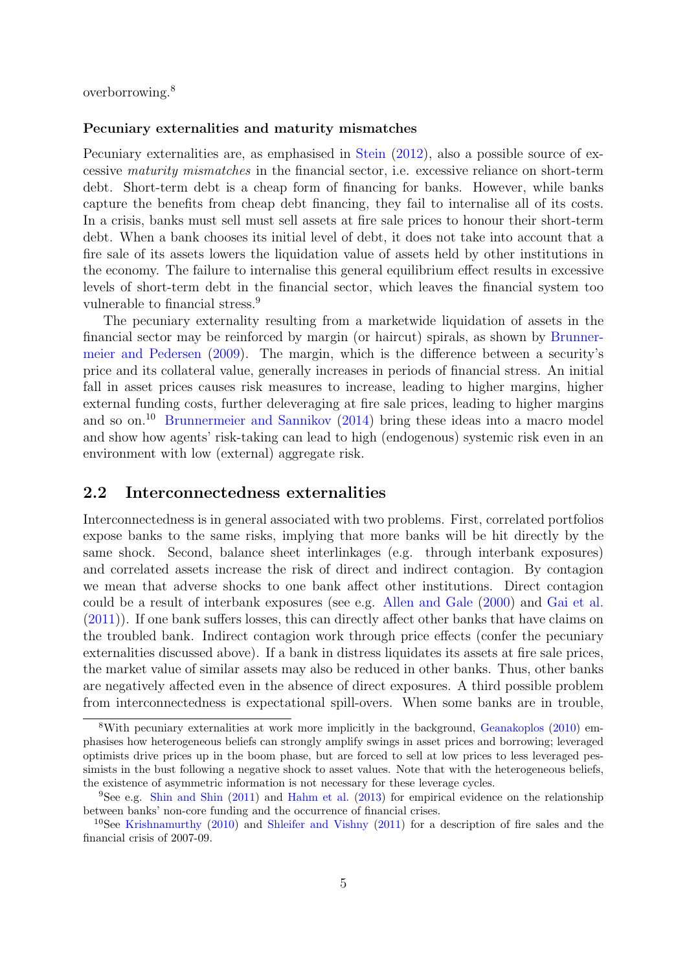overborrowing.[8](#page-6-0)

#### Pecuniary externalities and maturity mismatches

Pecuniary externalities are, as emphasised in [Stein](#page-16-5) [\(2012\)](#page-16-5), also a possible source of excessive maturity mismatches in the financial sector, i.e. excessive reliance on short-term debt. Short-term debt is a cheap form of financing for banks. However, while banks capture the benefits from cheap debt financing, they fail to internalise all of its costs. In a crisis, banks must sell must sell assets at fire sale prices to honour their short-term debt. When a bank chooses its initial level of debt, it does not take into account that a fire sale of its assets lowers the liquidation value of assets held by other institutions in the economy. The failure to internalise this general equilibrium effect results in excessive levels of short-term debt in the financial sector, which leaves the financial system too vulnerable to financial stress.<sup>[9](#page-6-1)</sup>

The pecuniary externality resulting from a marketwide liquidation of assets in the financial sector may be reinforced by margin (or haircut) spirals, as shown by [Brunner](#page-13-8)[meier and Pedersen](#page-13-8) [\(2009\)](#page-13-8). The margin, which is the difference between a security's price and its collateral value, generally increases in periods of financial stress. An initial fall in asset prices causes risk measures to increase, leading to higher margins, higher external funding costs, further deleveraging at fire sale prices, leading to higher margins and so on.[10](#page-6-2) [Brunnermeier and Sannikov](#page-14-5) [\(2014\)](#page-14-5) bring these ideas into a macro model and show how agents' risk-taking can lead to high (endogenous) systemic risk even in an environment with low (external) aggregate risk.

#### 2.2 Interconnectedness externalities

Interconnectedness is in general associated with two problems. First, correlated portfolios expose banks to the same risks, implying that more banks will be hit directly by the same shock. Second, balance sheet interlinkages (e.g. through interbank exposures) and correlated assets increase the risk of direct and indirect contagion. By contagion we mean that adverse shocks to one bank affect other institutions. Direct contagion could be a result of interbank exposures (see e.g. [Allen and Gale](#page-13-9) [\(2000\)](#page-13-9) and [Gai et al.](#page-14-6) [\(2011\)](#page-14-6)). If one bank suffers losses, this can directly affect other banks that have claims on the troubled bank. Indirect contagion work through price effects (confer the pecuniary externalities discussed above). If a bank in distress liquidates its assets at fire sale prices, the market value of similar assets may also be reduced in other banks. Thus, other banks are negatively affected even in the absence of direct exposures. A third possible problem from interconnectedness is expectational spill-overs. When some banks are in trouble,

<span id="page-6-0"></span><sup>&</sup>lt;sup>8</sup>With pecuniary externalities at work more implicitly in the background, [Geanakoplos](#page-14-7) [\(2010\)](#page-14-7) emphasises how heterogeneous beliefs can strongly amplify swings in asset prices and borrowing; leveraged optimists drive prices up in the boom phase, but are forced to sell at low prices to less leveraged pessimists in the bust following a negative shock to asset values. Note that with the heterogeneous beliefs, the existence of asymmetric information is not necessary for these leverage cycles.

<span id="page-6-1"></span><sup>9</sup>See e.g. [Shin and Shin](#page-16-6) [\(2011\)](#page-16-6) and [Hahm et al.](#page-15-9) [\(2013\)](#page-15-9) for empirical evidence on the relationship between banks' non-core funding and the occurrence of financial crises.

<span id="page-6-2"></span><sup>10</sup>See [Krishnamurthy](#page-16-7) [\(2010\)](#page-16-7) and [Shleifer and Vishny](#page-16-8) [\(2011\)](#page-16-8) for a description of fire sales and the financial crisis of 2007-09.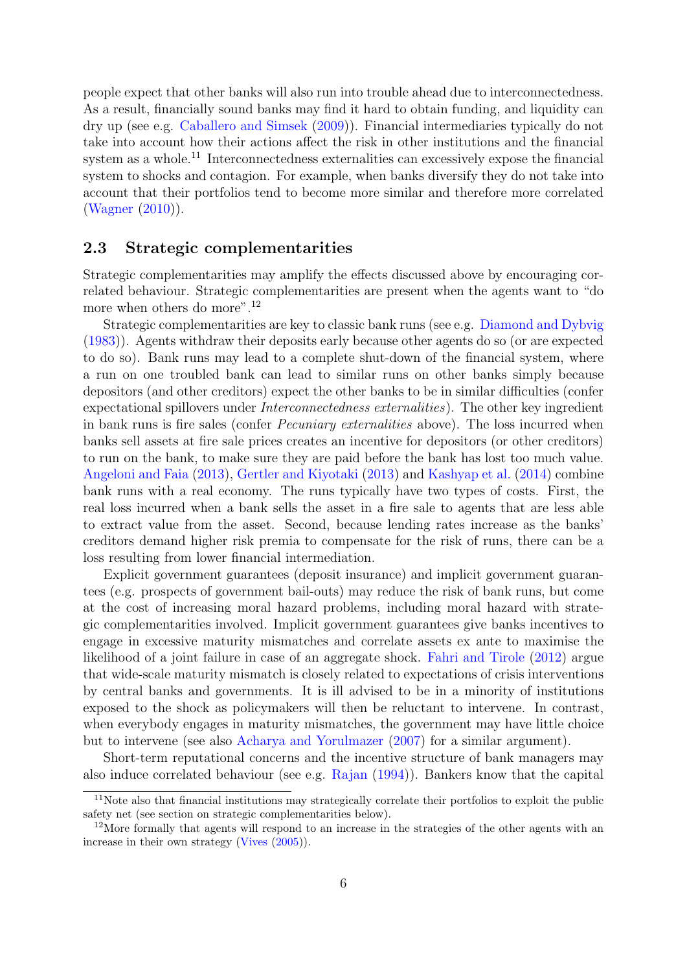people expect that other banks will also run into trouble ahead due to interconnectedness. As a result, financially sound banks may find it hard to obtain funding, and liquidity can dry up (see e.g. [Caballero and Simsek](#page-14-8) [\(2009\)](#page-14-8)). Financial intermediaries typically do not take into account how their actions affect the risk in other institutions and the financial system as a whole.<sup>[11](#page-7-0)</sup> Interconnectedness externalities can excessively expose the financial system to shocks and contagion. For example, when banks diversify they do not take into account that their portfolios tend to become more similar and therefore more correlated [\(Wagner](#page-16-9) [\(2010\)](#page-16-9)).

#### 2.3 Strategic complementarities

Strategic complementarities may amplify the effects discussed above by encouraging correlated behaviour. Strategic complementarities are present when the agents want to "do more when others do more".<sup>[12](#page-7-1)</sup>

Strategic complementarities are key to classic bank runs (see e.g. [Diamond and Dybvig](#page-14-9) [\(1983\)](#page-14-9)). Agents withdraw their deposits early because other agents do so (or are expected to do so). Bank runs may lead to a complete shut-down of the financial system, where a run on one troubled bank can lead to similar runs on other banks simply because depositors (and other creditors) expect the other banks to be in similar difficulties (confer expectational spillovers under Interconnectedness externalities). The other key ingredient in bank runs is fire sales (confer *Pecuniary externalities* above). The loss incurred when banks sell assets at fire sale prices creates an incentive for depositors (or other creditors) to run on the bank, to make sure they are paid before the bank has lost too much value. [Angeloni and Faia](#page-13-10) [\(2013\)](#page-13-10), [Gertler and Kiyotaki](#page-15-10) [\(2013\)](#page-15-10) and [Kashyap et al.](#page-15-11) [\(2014\)](#page-15-11) combine bank runs with a real economy. The runs typically have two types of costs. First, the real loss incurred when a bank sells the asset in a fire sale to agents that are less able to extract value from the asset. Second, because lending rates increase as the banks' creditors demand higher risk premia to compensate for the risk of runs, there can be a loss resulting from lower financial intermediation.

Explicit government guarantees (deposit insurance) and implicit government guarantees (e.g. prospects of government bail-outs) may reduce the risk of bank runs, but come at the cost of increasing moral hazard problems, including moral hazard with strategic complementarities involved. Implicit government guarantees give banks incentives to engage in excessive maturity mismatches and correlate assets ex ante to maximise the likelihood of a joint failure in case of an aggregate shock. [Fahri and Tirole](#page-14-10) [\(2012\)](#page-14-10) argue that wide-scale maturity mismatch is closely related to expectations of crisis interventions by central banks and governments. It is ill advised to be in a minority of institutions exposed to the shock as policymakers will then be reluctant to intervene. In contrast, when everybody engages in maturity mismatches, the government may have little choice but to intervene (see also [Acharya and Yorulmazer](#page-13-11) [\(2007\)](#page-13-11) for a similar argument).

Short-term reputational concerns and the incentive structure of bank managers may also induce correlated behaviour (see e.g. [Rajan](#page-16-10) [\(1994\)](#page-16-10)). Bankers know that the capital

<span id="page-7-0"></span><sup>&</sup>lt;sup>11</sup>Note also that financial institutions may strategically correlate their portfolios to exploit the public safety net (see section on strategic complementarities below).

<span id="page-7-1"></span><sup>&</sup>lt;sup>12</sup>More formally that agents will respond to an increase in the strategies of the other agents with an increase in their own strategy [\(Vives](#page-16-11) [\(2005\)](#page-16-11)).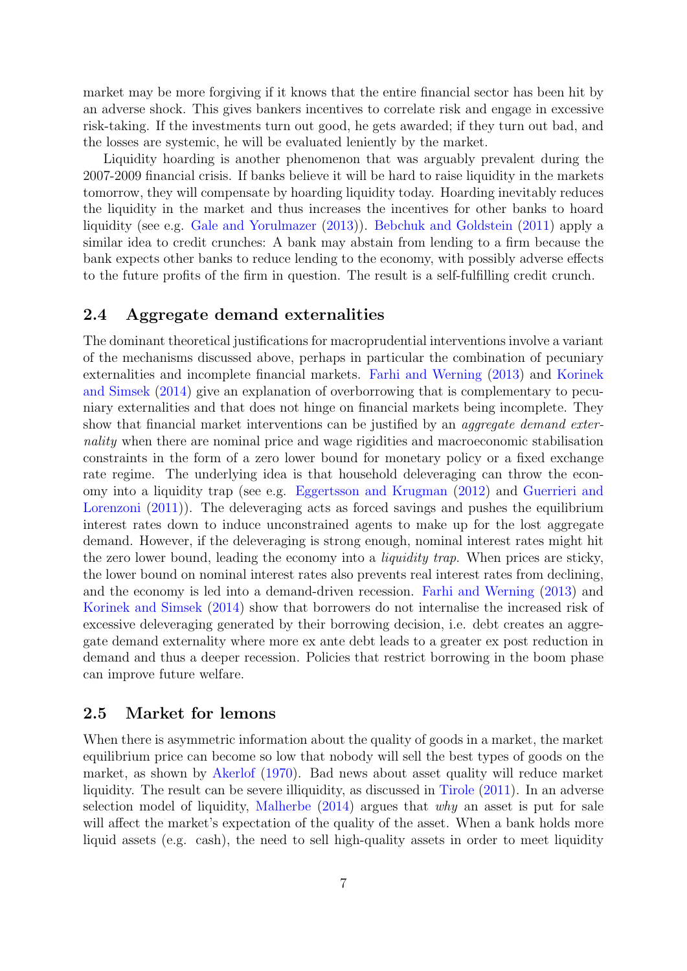market may be more forgiving if it knows that the entire financial sector has been hit by an adverse shock. This gives bankers incentives to correlate risk and engage in excessive risk-taking. If the investments turn out good, he gets awarded; if they turn out bad, and the losses are systemic, he will be evaluated leniently by the market.

Liquidity hoarding is another phenomenon that was arguably prevalent during the 2007-2009 financial crisis. If banks believe it will be hard to raise liquidity in the markets tomorrow, they will compensate by hoarding liquidity today. Hoarding inevitably reduces the liquidity in the market and thus increases the incentives for other banks to hoard liquidity (see e.g. [Gale and Yorulmazer](#page-14-11) [\(2013\)](#page-14-11)). [Bebchuk and Goldstein](#page-13-12) [\(2011\)](#page-13-12) apply a similar idea to credit crunches: A bank may abstain from lending to a firm because the bank expects other banks to reduce lending to the economy, with possibly adverse effects to the future profits of the firm in question. The result is a self-fulfilling credit crunch.

#### 2.4 Aggregate demand externalities

The dominant theoretical justifications for macroprudential interventions involve a variant of the mechanisms discussed above, perhaps in particular the combination of pecuniary externalities and incomplete financial markets. [Farhi and Werning](#page-14-12) [\(2013\)](#page-14-12) and [Korinek](#page-16-12) [and Simsek](#page-16-12) [\(2014\)](#page-16-12) give an explanation of overborrowing that is complementary to pecuniary externalities and that does not hinge on financial markets being incomplete. They show that financial market interventions can be justified by an *aggregate demand exter*nality when there are nominal price and wage rigidities and macroeconomic stabilisation constraints in the form of a zero lower bound for monetary policy or a fixed exchange rate regime. The underlying idea is that household deleveraging can throw the economy into a liquidity trap (see e.g. [Eggertsson and Krugman](#page-14-13) [\(2012\)](#page-14-13) and [Guerrieri and](#page-15-12) [Lorenzoni](#page-15-12) [\(2011\)](#page-15-12)). The deleveraging acts as forced savings and pushes the equilibrium interest rates down to induce unconstrained agents to make up for the lost aggregate demand. However, if the deleveraging is strong enough, nominal interest rates might hit the zero lower bound, leading the economy into a *liquidity trap*. When prices are sticky, the lower bound on nominal interest rates also prevents real interest rates from declining, and the economy is led into a demand-driven recession. [Farhi and Werning](#page-14-12) [\(2013\)](#page-14-12) and [Korinek and Simsek](#page-16-12) [\(2014\)](#page-16-12) show that borrowers do not internalise the increased risk of excessive deleveraging generated by their borrowing decision, i.e. debt creates an aggregate demand externality where more ex ante debt leads to a greater ex post reduction in demand and thus a deeper recession. Policies that restrict borrowing in the boom phase can improve future welfare.

#### 2.5 Market for lemons

When there is asymmetric information about the quality of goods in a market, the market equilibrium price can become so low that nobody will sell the best types of goods on the market, as shown by [Akerlof](#page-13-13) [\(1970\)](#page-13-13). Bad news about asset quality will reduce market liquidity. The result can be severe illiquidity, as discussed in [Tirole](#page-16-13) [\(2011\)](#page-16-13). In an adverse selection model of liquidity, [Malherbe](#page-16-14)  $(2014)$  argues that why an asset is put for sale will affect the market's expectation of the quality of the asset. When a bank holds more liquid assets (e.g. cash), the need to sell high-quality assets in order to meet liquidity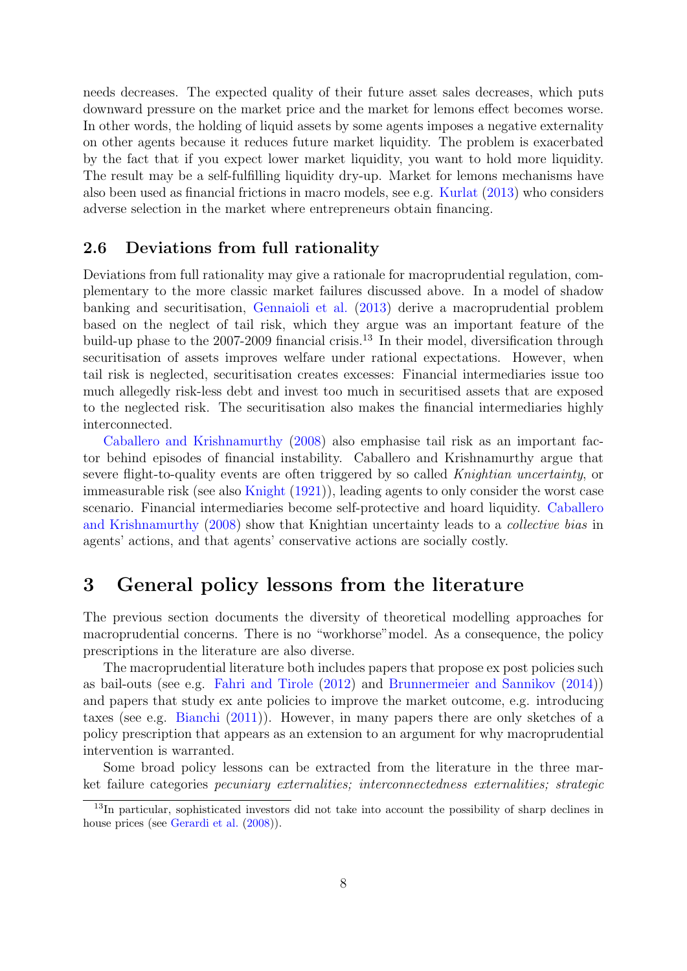needs decreases. The expected quality of their future asset sales decreases, which puts downward pressure on the market price and the market for lemons effect becomes worse. In other words, the holding of liquid assets by some agents imposes a negative externality on other agents because it reduces future market liquidity. The problem is exacerbated by the fact that if you expect lower market liquidity, you want to hold more liquidity. The result may be a self-fulfilling liquidity dry-up. Market for lemons mechanisms have also been used as financial frictions in macro models, see e.g. [Kurlat](#page-16-15) [\(2013\)](#page-16-15) who considers adverse selection in the market where entrepreneurs obtain financing.

#### 2.6 Deviations from full rationality

Deviations from full rationality may give a rationale for macroprudential regulation, complementary to the more classic market failures discussed above. In a model of shadow banking and securitisation, [Gennaioli et al.](#page-14-14) [\(2013\)](#page-14-14) derive a macroprudential problem based on the neglect of tail risk, which they argue was an important feature of the build-up phase to the  $2007-2009$  financial crisis.<sup>[13](#page-9-0)</sup> In their model, diversification through securitisation of assets improves welfare under rational expectations. However, when tail risk is neglected, securitisation creates excesses: Financial intermediaries issue too much allegedly risk-less debt and invest too much in securitised assets that are exposed to the neglected risk. The securitisation also makes the financial intermediaries highly interconnected.

[Caballero and Krishnamurthy](#page-14-15) [\(2008\)](#page-14-15) also emphasise tail risk as an important factor behind episodes of financial instability. Caballero and Krishnamurthy argue that severe flight-to-quality events are often triggered by so called Knightian uncertainty, or immeasurable risk (see also [Knight](#page-15-13) [\(1921\)](#page-15-13)), leading agents to only consider the worst case scenario. Financial intermediaries become self-protective and hoard liquidity. [Caballero](#page-14-15) [and Krishnamurthy](#page-14-15) [\(2008\)](#page-14-15) show that Knightian uncertainty leads to a collective bias in agents' actions, and that agents' conservative actions are socially costly.

### 3 General policy lessons from the literature

The previous section documents the diversity of theoretical modelling approaches for macroprudential concerns. There is no "workhorse"model. As a consequence, the policy prescriptions in the literature are also diverse.

The macroprudential literature both includes papers that propose ex post policies such as bail-outs (see e.g. [Fahri and Tirole](#page-14-10) [\(2012\)](#page-14-10) and [Brunnermeier and Sannikov](#page-14-5) [\(2014\)](#page-14-5)) and papers that study ex ante policies to improve the market outcome, e.g. introducing taxes (see e.g. [Bianchi](#page-13-6) [\(2011\)](#page-13-6)). However, in many papers there are only sketches of a policy prescription that appears as an extension to an argument for why macroprudential intervention is warranted.

Some broad policy lessons can be extracted from the literature in the three market failure categories pecuniary externalities; interconnectedness externalities; strategic

<span id="page-9-0"></span><sup>13</sup>In particular, sophisticated investors did not take into account the possibility of sharp declines in house prices (see [Gerardi et al.](#page-15-14) [\(2008\)](#page-15-14)).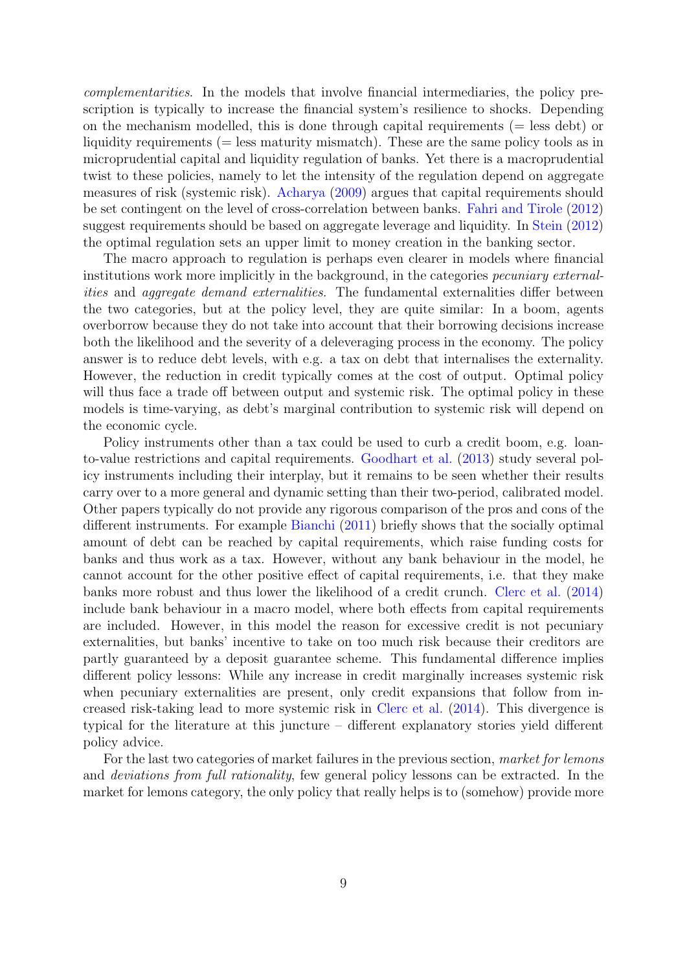complementarities. In the models that involve financial intermediaries, the policy prescription is typically to increase the financial system's resilience to shocks. Depending on the mechanism modelled, this is done through capital requirements ( $=$  less debt) or liquidity requirements (= less maturity mismatch). These are the same policy tools as in microprudential capital and liquidity regulation of banks. Yet there is a macroprudential twist to these policies, namely to let the intensity of the regulation depend on aggregate measures of risk (systemic risk). [Acharya](#page-13-14) [\(2009\)](#page-13-14) argues that capital requirements should be set contingent on the level of cross-correlation between banks. [Fahri and Tirole](#page-14-10) [\(2012\)](#page-14-10) suggest requirements should be based on aggregate leverage and liquidity. In [Stein](#page-16-5) [\(2012\)](#page-16-5) the optimal regulation sets an upper limit to money creation in the banking sector.

The macro approach to regulation is perhaps even clearer in models where financial institutions work more implicitly in the background, in the categories pecuniary externalities and aggregate demand externalities. The fundamental externalities differ between the two categories, but at the policy level, they are quite similar: In a boom, agents overborrow because they do not take into account that their borrowing decisions increase both the likelihood and the severity of a deleveraging process in the economy. The policy answer is to reduce debt levels, with e.g. a tax on debt that internalises the externality. However, the reduction in credit typically comes at the cost of output. Optimal policy will thus face a trade off between output and systemic risk. The optimal policy in these models is time-varying, as debt's marginal contribution to systemic risk will depend on the economic cycle.

Policy instruments other than a tax could be used to curb a credit boom, e.g. loanto-value restrictions and capital requirements. [Goodhart et al.](#page-15-15) [\(2013\)](#page-15-15) study several policy instruments including their interplay, but it remains to be seen whether their results carry over to a more general and dynamic setting than their two-period, calibrated model. Other papers typically do not provide any rigorous comparison of the pros and cons of the different instruments. For example [Bianchi](#page-13-6) [\(2011\)](#page-13-6) briefly shows that the socially optimal amount of debt can be reached by capital requirements, which raise funding costs for banks and thus work as a tax. However, without any bank behaviour in the model, he cannot account for the other positive effect of capital requirements, i.e. that they make banks more robust and thus lower the likelihood of a credit crunch. [Clerc et al.](#page-14-16) [\(2014\)](#page-14-16) include bank behaviour in a macro model, where both effects from capital requirements are included. However, in this model the reason for excessive credit is not pecuniary externalities, but banks' incentive to take on too much risk because their creditors are partly guaranteed by a deposit guarantee scheme. This fundamental difference implies different policy lessons: While any increase in credit marginally increases systemic risk when pecuniary externalities are present, only credit expansions that follow from increased risk-taking lead to more systemic risk in [Clerc et al.](#page-14-16) [\(2014\)](#page-14-16). This divergence is typical for the literature at this juncture – different explanatory stories yield different policy advice.

For the last two categories of market failures in the previous section, market for lemons and deviations from full rationality, few general policy lessons can be extracted. In the market for lemons category, the only policy that really helps is to (somehow) provide more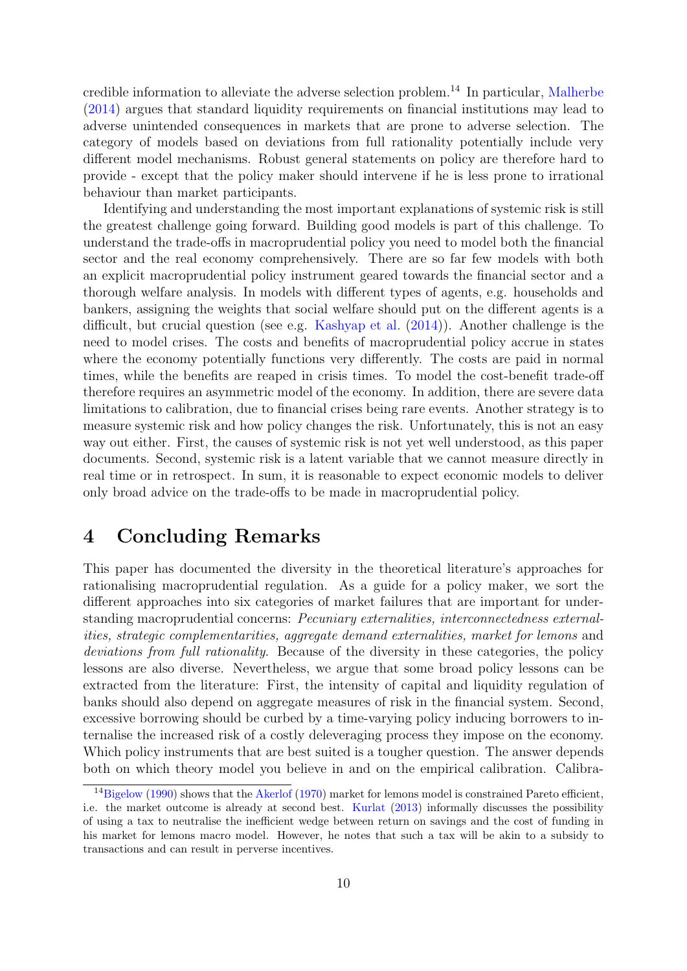credible information to alleviate the adverse selection problem.[14](#page-11-0) In particular, [Malherbe](#page-16-14) [\(2014\)](#page-16-14) argues that standard liquidity requirements on financial institutions may lead to adverse unintended consequences in markets that are prone to adverse selection. The category of models based on deviations from full rationality potentially include very different model mechanisms. Robust general statements on policy are therefore hard to provide - except that the policy maker should intervene if he is less prone to irrational behaviour than market participants.

Identifying and understanding the most important explanations of systemic risk is still the greatest challenge going forward. Building good models is part of this challenge. To understand the trade-offs in macroprudential policy you need to model both the financial sector and the real economy comprehensively. There are so far few models with both an explicit macroprudential policy instrument geared towards the financial sector and a thorough welfare analysis. In models with different types of agents, e.g. households and bankers, assigning the weights that social welfare should put on the different agents is a difficult, but crucial question (see e.g. [Kashyap et al.](#page-15-11) [\(2014\)](#page-15-11)). Another challenge is the need to model crises. The costs and benefits of macroprudential policy accrue in states where the economy potentially functions very differently. The costs are paid in normal times, while the benefits are reaped in crisis times. To model the cost-benefit trade-off therefore requires an asymmetric model of the economy. In addition, there are severe data limitations to calibration, due to financial crises being rare events. Another strategy is to measure systemic risk and how policy changes the risk. Unfortunately, this is not an easy way out either. First, the causes of systemic risk is not yet well understood, as this paper documents. Second, systemic risk is a latent variable that we cannot measure directly in real time or in retrospect. In sum, it is reasonable to expect economic models to deliver only broad advice on the trade-offs to be made in macroprudential policy.

## 4 Concluding Remarks

This paper has documented the diversity in the theoretical literature's approaches for rationalising macroprudential regulation. As a guide for a policy maker, we sort the different approaches into six categories of market failures that are important for understanding macroprudential concerns: Pecuniary externalities, interconnectedness externalities, strategic complementarities, aggregate demand externalities, market for lemons and deviations from full rationality. Because of the diversity in these categories, the policy lessons are also diverse. Nevertheless, we argue that some broad policy lessons can be extracted from the literature: First, the intensity of capital and liquidity regulation of banks should also depend on aggregate measures of risk in the financial system. Second, excessive borrowing should be curbed by a time-varying policy inducing borrowers to internalise the increased risk of a costly deleveraging process they impose on the economy. Which policy instruments that are best suited is a tougher question. The answer depends both on which theory model you believe in and on the empirical calibration. Calibra-

<span id="page-11-0"></span><sup>&</sup>lt;sup>14</sup>[Bigelow](#page-13-15) [\(1990\)](#page-13-15) shows that the [Akerlof](#page-13-13) [\(1970\)](#page-13-13) market for lemons model is constrained Pareto efficient, i.e. the market outcome is already at second best. [Kurlat](#page-16-15) [\(2013\)](#page-16-15) informally discusses the possibility of using a tax to neutralise the inefficient wedge between return on savings and the cost of funding in his market for lemons macro model. However, he notes that such a tax will be akin to a subsidy to transactions and can result in perverse incentives.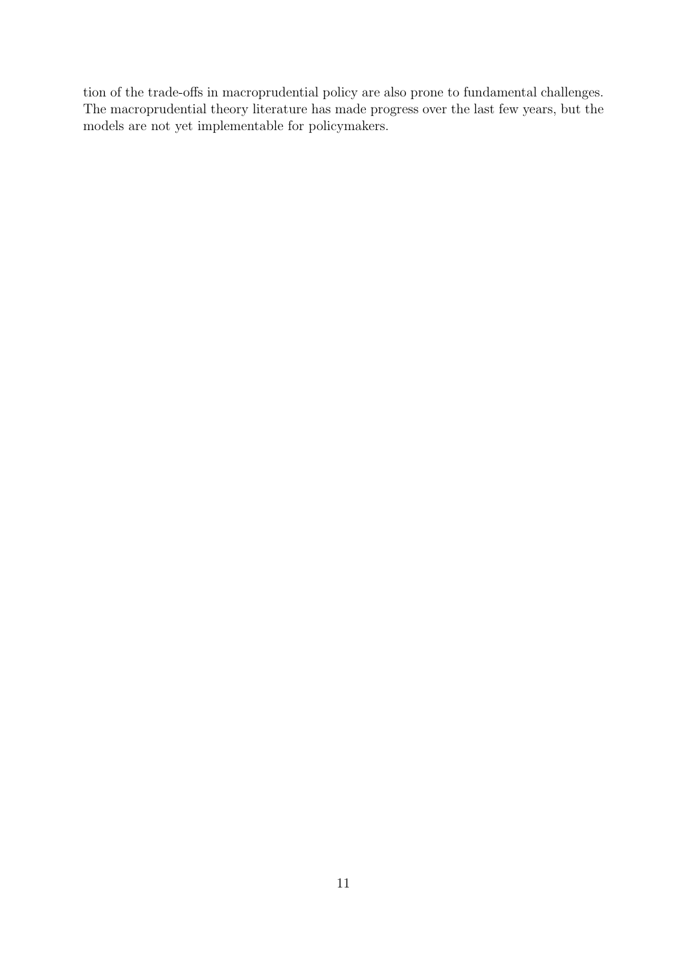tion of the trade-offs in macroprudential policy are also prone to fundamental challenges. The macroprudential theory literature has made progress over the last few years, but the models are not yet implementable for policymakers.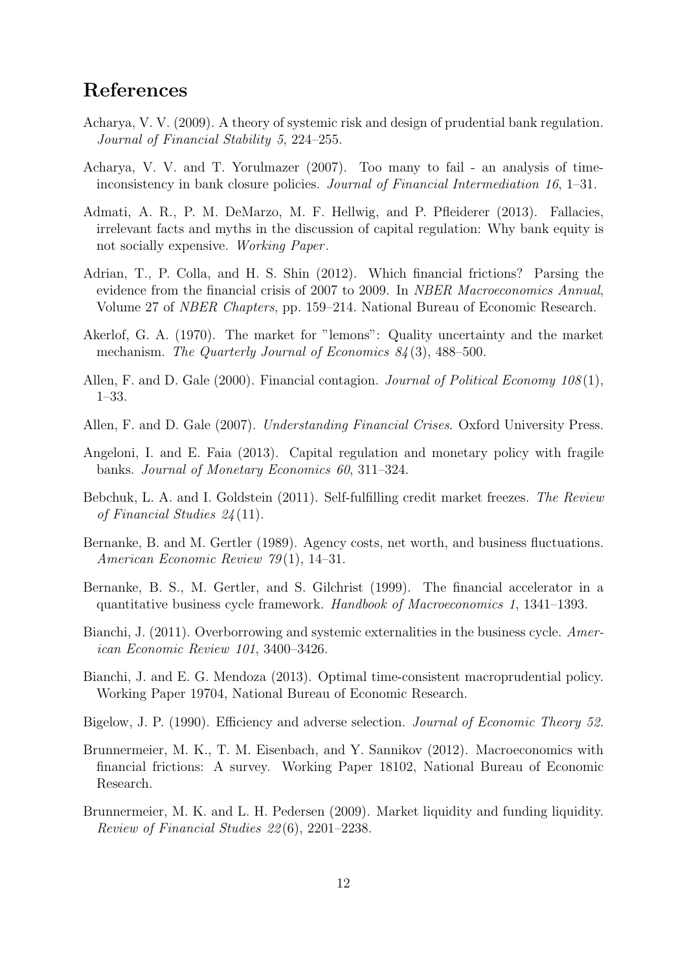## References

- <span id="page-13-14"></span>Acharya, V. V. (2009). A theory of systemic risk and design of prudential bank regulation. Journal of Financial Stability 5, 224–255.
- <span id="page-13-11"></span>Acharya, V. V. and T. Yorulmazer (2007). Too many to fail - an analysis of timeinconsistency in bank closure policies. Journal of Financial Intermediation 16, 1–31.
- <span id="page-13-5"></span>Admati, A. R., P. M. DeMarzo, M. F. Hellwig, and P. Pfleiderer (2013). Fallacies, irrelevant facts and myths in the discussion of capital regulation: Why bank equity is not socially expensive. Working Paper .
- <span id="page-13-4"></span>Adrian, T., P. Colla, and H. S. Shin (2012). Which financial frictions? Parsing the evidence from the financial crisis of 2007 to 2009. In *NBER Macroeconomics Annual*, Volume 27 of NBER Chapters, pp. 159–214. National Bureau of Economic Research.
- <span id="page-13-13"></span>Akerlof, G. A. (1970). The market for "lemons": Quality uncertainty and the market mechanism. The Quarterly Journal of Economics 84(3), 488–500.
- <span id="page-13-9"></span>Allen, F. and D. Gale (2000). Financial contagion. Journal of Political Economy 108(1), 1–33.
- <span id="page-13-0"></span>Allen, F. and D. Gale (2007). Understanding Financial Crises. Oxford University Press.
- <span id="page-13-10"></span>Angeloni, I. and E. Faia (2013). Capital regulation and monetary policy with fragile banks. Journal of Monetary Economics 60, 311–324.
- <span id="page-13-12"></span>Bebchuk, L. A. and I. Goldstein (2011). Self-fulfilling credit market freezes. The Review of Financial Studies 24 (11).
- <span id="page-13-1"></span>Bernanke, B. and M. Gertler (1989). Agency costs, net worth, and business fluctuations. American Economic Review 79(1), 14–31.
- <span id="page-13-2"></span>Bernanke, B. S., M. Gertler, and S. Gilchrist (1999). The financial accelerator in a quantitative business cycle framework. Handbook of Macroeconomics 1, 1341–1393.
- <span id="page-13-6"></span>Bianchi, J. (2011). Overborrowing and systemic externalities in the business cycle. American Economic Review 101, 3400–3426.
- <span id="page-13-7"></span>Bianchi, J. and E. G. Mendoza (2013). Optimal time-consistent macroprudential policy. Working Paper 19704, National Bureau of Economic Research.
- <span id="page-13-15"></span>Bigelow, J. P. (1990). Efficiency and adverse selection. *Journal of Economic Theory 52*.
- <span id="page-13-3"></span>Brunnermeier, M. K., T. M. Eisenbach, and Y. Sannikov (2012). Macroeconomics with financial frictions: A survey. Working Paper 18102, National Bureau of Economic Research.
- <span id="page-13-8"></span>Brunnermeier, M. K. and L. H. Pedersen (2009). Market liquidity and funding liquidity. Review of Financial Studies 22 (6), 2201–2238.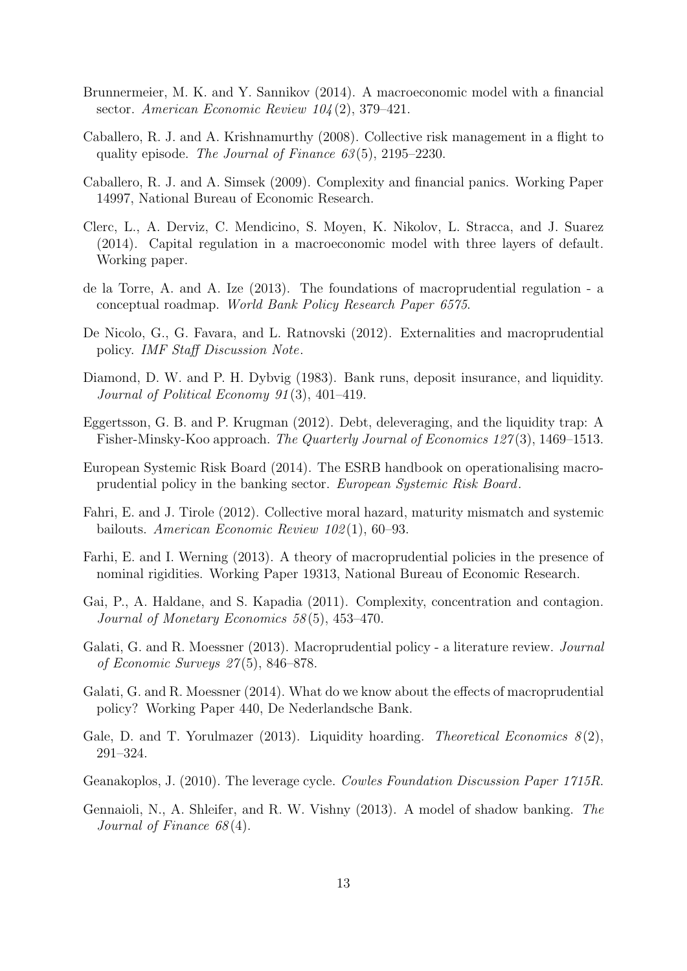- <span id="page-14-5"></span>Brunnermeier, M. K. and Y. Sannikov (2014). A macroeconomic model with a financial sector. American Economic Review  $104(2)$ , 379-421.
- <span id="page-14-15"></span>Caballero, R. J. and A. Krishnamurthy (2008). Collective risk management in a flight to quality episode. The Journal of Finance  $63(5)$ ,  $2195-2230$ .
- <span id="page-14-8"></span>Caballero, R. J. and A. Simsek (2009). Complexity and financial panics. Working Paper 14997, National Bureau of Economic Research.
- <span id="page-14-16"></span>Clerc, L., A. Derviz, C. Mendicino, S. Moyen, K. Nikolov, L. Stracca, and J. Suarez (2014). Capital regulation in a macroeconomic model with three layers of default. Working paper.
- <span id="page-14-3"></span>de la Torre, A. and A. Ize (2013). The foundations of macroprudential regulation - a conceptual roadmap. World Bank Policy Research Paper 6575.
- <span id="page-14-0"></span>De Nicolo, G., G. Favara, and L. Ratnovski (2012). Externalities and macroprudential policy. IMF Staff Discussion Note.
- <span id="page-14-9"></span>Diamond, D. W. and P. H. Dybvig (1983). Bank runs, deposit insurance, and liquidity. Journal of Political Economy 91 (3), 401–419.
- <span id="page-14-13"></span>Eggertsson, G. B. and P. Krugman (2012). Debt, deleveraging, and the liquidity trap: A Fisher-Minsky-Koo approach. The Quarterly Journal of Economics 127(3), 1469–1513.
- <span id="page-14-4"></span>European Systemic Risk Board (2014). The ESRB handbook on operationalising macroprudential policy in the banking sector. European Systemic Risk Board.
- <span id="page-14-10"></span>Fahri, E. and J. Tirole (2012). Collective moral hazard, maturity mismatch and systemic bailouts. American Economic Review 102 (1), 60–93.
- <span id="page-14-12"></span>Farhi, E. and I. Werning (2013). A theory of macroprudential policies in the presence of nominal rigidities. Working Paper 19313, National Bureau of Economic Research.
- <span id="page-14-6"></span>Gai, P., A. Haldane, and S. Kapadia (2011). Complexity, concentration and contagion. Journal of Monetary Economics 58 (5), 453–470.
- <span id="page-14-1"></span>Galati, G. and R. Moessner (2013). Macroprudential policy - a literature review. *Journal* of Economic Surveys 27 (5), 846–878.
- <span id="page-14-2"></span>Galati, G. and R. Moessner (2014). What do we know about the effects of macroprudential policy? Working Paper 440, De Nederlandsche Bank.
- <span id="page-14-11"></span>Gale, D. and T. Yorulmazer (2013). Liquidity hoarding. Theoretical Economics  $8(2)$ , 291–324.
- <span id="page-14-7"></span>Geanakoplos, J. (2010). The leverage cycle. Cowles Foundation Discussion Paper 1715R.
- <span id="page-14-14"></span>Gennaioli, N., A. Shleifer, and R. W. Vishny (2013). A model of shadow banking. The Journal of Finance 68 (4).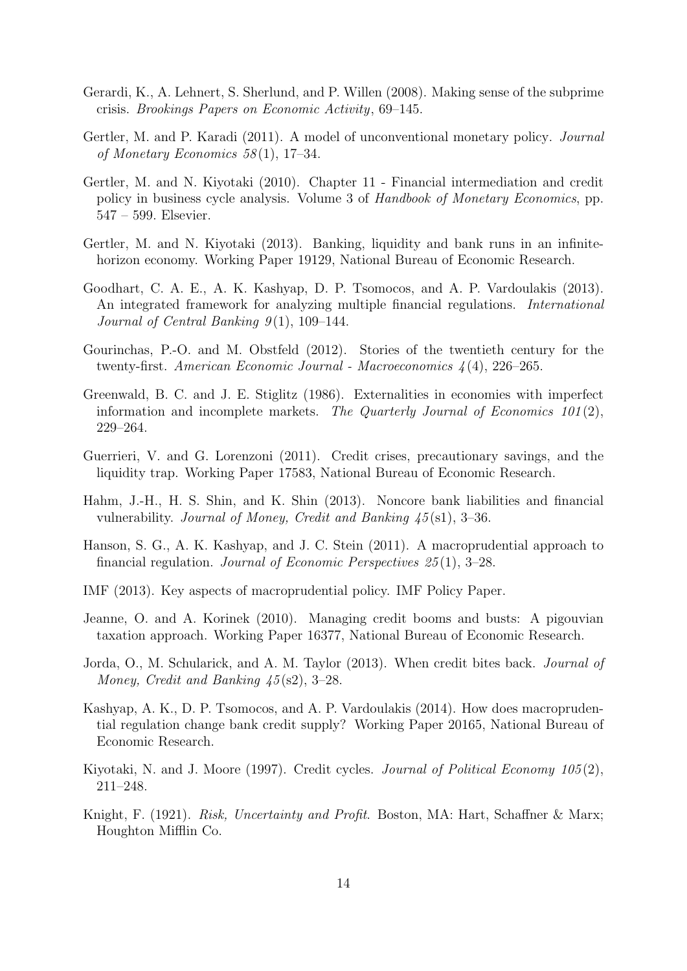- <span id="page-15-14"></span>Gerardi, K., A. Lehnert, S. Sherlund, and P. Willen (2008). Making sense of the subprime crisis. Brookings Papers on Economic Activity, 69–145.
- <span id="page-15-5"></span>Gertler, M. and P. Karadi (2011). A model of unconventional monetary policy. Journal of Monetary Economics 58 (1), 17–34.
- <span id="page-15-4"></span>Gertler, M. and N. Kiyotaki (2010). Chapter 11 - Financial intermediation and credit policy in business cycle analysis. Volume 3 of Handbook of Monetary Economics, pp. 547 – 599. Elsevier.
- <span id="page-15-10"></span>Gertler, M. and N. Kiyotaki (2013). Banking, liquidity and bank runs in an infinitehorizon economy. Working Paper 19129, National Bureau of Economic Research.
- <span id="page-15-15"></span>Goodhart, C. A. E., A. K. Kashyap, D. P. Tsomocos, and A. P. Vardoulakis (2013). An integrated framework for analyzing multiple financial regulations. International Journal of Central Banking  $9(1)$ , 109–144.
- <span id="page-15-7"></span>Gourinchas, P.-O. and M. Obstfeld (2012). Stories of the twentieth century for the twenty-first. American Economic Journal - Macroeconomics  $\lambda(4)$ , 226–265.
- <span id="page-15-6"></span>Greenwald, B. C. and J. E. Stiglitz (1986). Externalities in economies with imperfect information and incomplete markets. The Quarterly Journal of Economics 101(2), 229–264.
- <span id="page-15-12"></span>Guerrieri, V. and G. Lorenzoni (2011). Credit crises, precautionary savings, and the liquidity trap. Working Paper 17583, National Bureau of Economic Research.
- <span id="page-15-9"></span>Hahm, J.-H., H. S. Shin, and K. Shin (2013). Noncore bank liabilities and financial vulnerability. Journal of Money, Credit and Banking 45 (s1), 3–36.
- <span id="page-15-1"></span>Hanson, S. G., A. K. Kashyap, and J. C. Stein (2011). A macroprudential approach to financial regulation. Journal of Economic Perspectives  $25(1)$ , 3-28.
- <span id="page-15-3"></span>IMF (2013). Key aspects of macroprudential policy. IMF Policy Paper.
- <span id="page-15-8"></span>Jeanne, O. and A. Korinek (2010). Managing credit booms and busts: A pigouvian taxation approach. Working Paper 16377, National Bureau of Economic Research.
- <span id="page-15-0"></span>Jorda, O., M. Schularick, and A. M. Taylor (2013). When credit bites back. Journal of Money, Credit and Banking  $\frac{45}{\text{(s2)}}$ , 3–28.
- <span id="page-15-11"></span>Kashyap, A. K., D. P. Tsomocos, and A. P. Vardoulakis (2014). How does macroprudential regulation change bank credit supply? Working Paper 20165, National Bureau of Economic Research.
- <span id="page-15-2"></span>Kiyotaki, N. and J. Moore (1997). Credit cycles. Journal of Political Economy 105(2), 211–248.
- <span id="page-15-13"></span>Knight, F. (1921). *Risk, Uncertainty and Profit.* Boston, MA: Hart, Schaffner & Marx; Houghton Mifflin Co.